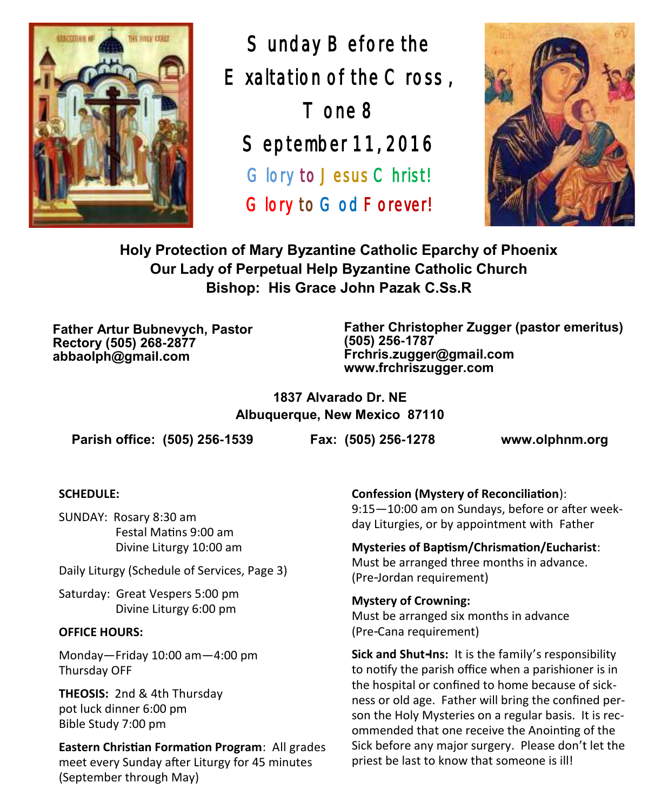

Sunday Before the Exaltation of the Cross , Tone 8 September 11, 2016 Glory to Jesus Christ! Glory to God Forever!



**Holy Protection of Mary Byzantine Catholic Eparchy of Phoenix Our Lady of Perpetual Help Byzantine Catholic Church Bishop: His Grace John Pazak C.Ss.R**

**Father Artur Bubnevych, Pastor Rectory (505) 268-2877 abbaolph@gmail.com**

**Father Christopher Zugger (pastor emeritus) (505) 256-1787 Frchris.zugger@gmail.com www.frchriszugger.com** 

**1837 Alvarado Dr. NE Albuquerque, New Mexico 87110**

**Parish office: (505) 256-1539 Fax: (505) 256-1278 www.olphnm.org**

#### **SCHEDULE:**

SUNDAY: Rosary 8:30 am Festal Matins 9:00 am Divine Liturgy 10:00 am

Daily Liturgy (Schedule of Services, Page 3)

Saturday: Great Vespers 5:00 pm Divine Liturgy 6:00 pm

#### **OFFICE HOURS:**

Monday—Friday 10:00 am—4:00 pm Thursday OFF

**THEOSIS:** 2nd & 4th Thursday pot luck dinner 6:00 pm Bible Study 7:00 pm

**Eastern Christian Formation Program**: All grades meet every Sunday after Liturgy for 45 minutes (September through May)

**Confession (Mystery of Reconciliation**): 9:15—10:00 am on Sundays, before or after weekday Liturgies, or by appointment with Father

**Mysteries of Baptism/Chrismation/Eucharist**: Must be arranged three months in advance. (Pre-Jordan requirement)

**Mystery of Crowning:**  Must be arranged six months in advance (Pre-Cana requirement)

**Sick and Shut-Ins:** It is the family's responsibility to notify the parish office when a parishioner is in the hospital or confined to home because of sickness or old age. Father will bring the confined person the Holy Mysteries on a regular basis. It is recommended that one receive the Anointing of the Sick before any major surgery. Please don't let the priest be last to know that someone is ill!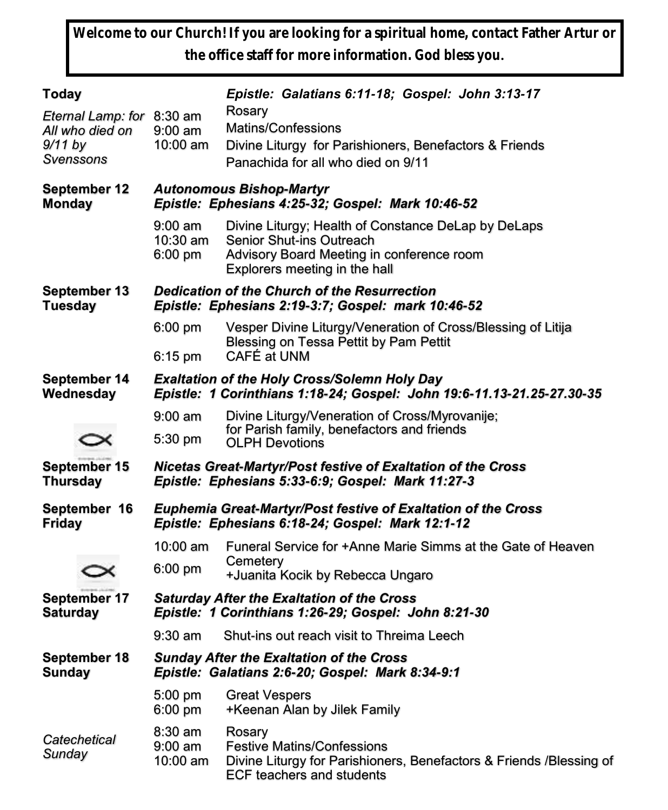**Welcome to our Church! If you are looking for a spiritual home, contact Father Artur or the office staff for more information. God bless you.**

| <b>Today</b>                                                         |                                                                                                                                                         | Epistle: Galatians 6:11-18; Gospel: John 3:13-17                                                                                                              |  |  |  |
|----------------------------------------------------------------------|---------------------------------------------------------------------------------------------------------------------------------------------------------|---------------------------------------------------------------------------------------------------------------------------------------------------------------|--|--|--|
| Eternal Lamp: for 8:30 am<br>All who died on<br>9/11 by<br>Svenssons | $9:00$ am<br>10:00 am                                                                                                                                   | Rosary<br>Matins/Confessions<br>Divine Liturgy for Parishioners, Benefactors & Friends<br>Panachida for all who died on 9/11                                  |  |  |  |
| <b>September 12</b><br><b>Monday</b>                                 | <b>Autonomous Bishop-Martyr</b><br>Epistle: Ephesians 4:25-32; Gospel: Mark 10:46-52                                                                    |                                                                                                                                                               |  |  |  |
|                                                                      | $9:00 \text{ am}$<br>10:30 am<br>6:00 pm                                                                                                                | Divine Liturgy; Health of Constance DeLap by DeLaps<br>Senior Shut-ins Outreach<br>Advisory Board Meeting in conference room<br>Explorers meeting in the hall |  |  |  |
| <b>September 13</b><br><b>Tuesday</b>                                | Dedication of the Church of the Resurrection<br>Epistle: Ephesians 2:19-3:7; Gospel: mark 10:46-52                                                      |                                                                                                                                                               |  |  |  |
|                                                                      | $6:00 \text{ pm}$                                                                                                                                       | Vesper Divine Liturgy/Veneration of Cross/Blessing of Litija<br>Blessing on Tessa Pettit by Pam Pettit                                                        |  |  |  |
| September 14<br>Wednesday                                            | CAFÉ at UNM<br>6:15 pm<br><b>Exaltation of the Holy Cross/Solemn Holy Day</b><br>Epistle: 1 Corinthians 1:18-24; Gospel: John 19:6-11.13-21.25-27.30-35 |                                                                                                                                                               |  |  |  |
|                                                                      | $9:00$ am                                                                                                                                               | Divine Liturgy/Veneration of Cross/Myrovanije;                                                                                                                |  |  |  |
|                                                                      | 5:30 pm                                                                                                                                                 | for Parish family, benefactors and friends<br><b>OLPH Devotions</b>                                                                                           |  |  |  |
| <b>September 15</b><br><b>Thursday</b>                               | Nicetas Great-Martyr/Post festive of Exaltation of the Cross<br>Epistle: Ephesians 5:33-6:9; Gospel: Mark 11:27-3                                       |                                                                                                                                                               |  |  |  |
| September 16<br><b>Friday</b>                                        | <b>Euphemia Great-Martyr/Post festive of Exaltation of the Cross</b><br>Epistle: Ephesians 6:18-24; Gospel: Mark 12:1-12                                |                                                                                                                                                               |  |  |  |
|                                                                      | 10:00 am                                                                                                                                                | Funeral Service for +Anne Marie Simms at the Gate of Heaven                                                                                                   |  |  |  |
|                                                                      | $6:00 \text{ pm}$                                                                                                                                       | Cemetery<br>+Juanita Kocik by Rebecca Ungaro                                                                                                                  |  |  |  |
| September 17<br><b>Saturday</b>                                      | <b>Saturday After the Exaltation of the Cross</b><br>Epistle: 1 Corinthians 1:26-29; Gospel: John 8:21-30                                               |                                                                                                                                                               |  |  |  |
|                                                                      | $9:30$ am                                                                                                                                               | Shut-ins out reach visit to Threima Leech                                                                                                                     |  |  |  |
| <b>September 18</b><br><b>Sunday</b>                                 | <b>Sunday After the Exaltation of the Cross</b><br>Epistle: Galatians 2:6-20; Gospel: Mark 8:34-9:1                                                     |                                                                                                                                                               |  |  |  |
|                                                                      | 5:00 pm<br>6:00 pm                                                                                                                                      | <b>Great Vespers</b><br>+Keenan Alan by Jilek Family                                                                                                          |  |  |  |
| Catechetical<br>Sunday                                               | 8:30 am<br>$9:00$ am<br>10:00 am                                                                                                                        | Rosary<br><b>Festive Matins/Confessions</b><br>Divine Liturgy for Parishioners, Benefactors & Friends /Blessing of<br><b>ECF teachers and students</b>        |  |  |  |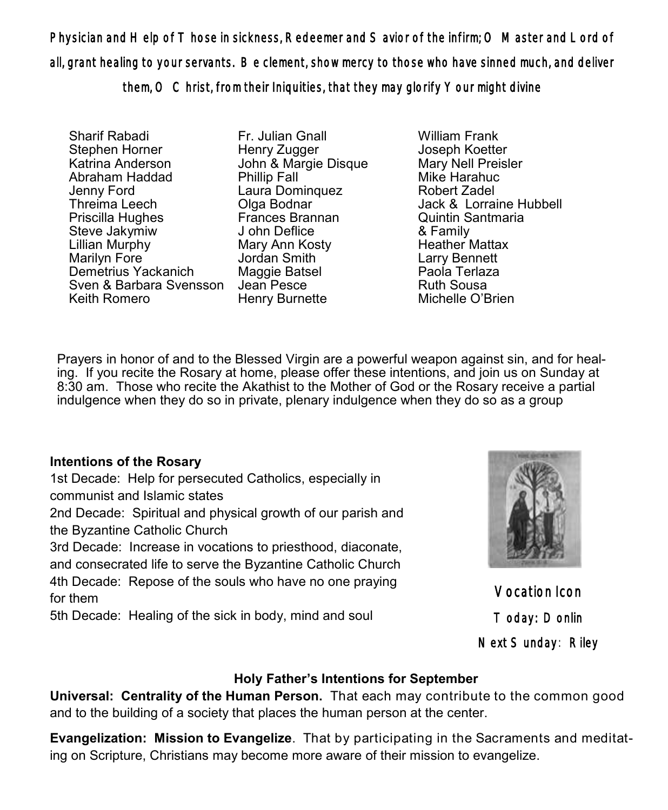Physician and Help of Those in sickness, Redeemer and Savior of the infirm; O Master and Lord of all, grant healing to your servants. Be clement, show mercy to those who have sinned much, and deliver them, O Christ, from their Iniquities, that they may glorify Your might divine

Sharif Rabadi Stephen Horner Katrina Anderson Abraham Haddad Jenny Ford Threima Leech Priscilla Hughes Steve Jakymiw Lillian Murphy Marilyn Fore Demetrius Yackanich Sven & Barbara Svensson Jean Pesce Keith Romero

Fr. Julian Gnall Henry Zugger John & Margie Disque Phillip Fall Laura Dominquez Olga Bodnar Frances Brannan J ohn Deflice Mary Ann Kosty Jordan Smith Maggie Batsel Henry Burnette

William Frank Joseph Koetter Mary Nell Preisler Mike Harahuc Robert Zadel Jack & Lorraine Hubbell Quintin Santmaria & Family Heather Mattax Larry Bennett Paola Terlaza Ruth Sousa Michelle O'Brien

Prayers in honor of and to the Blessed Virgin are a powerful weapon against sin, and for healing. If you recite the Rosary at home, please offer these intentions, and join us on Sunday at 8:30 am. Those who recite the Akathist to the Mother of God or the Rosary receive a partial indulgence when they do so in private, plenary indulgence when they do so as a group

## **Intentions of the Rosary**

1st Decade: Help for persecuted Catholics, especially in communist and Islamic states

2nd Decade: Spiritual and physical growth of our parish and the Byzantine Catholic Church

3rd Decade: Increase in vocations to priesthood, diaconate, and consecrated life to serve the Byzantine Catholic Church 4th Decade: Repose of the souls who have no one praying for them

5th Decade: Healing of the sick in body, mind and soul



Vocation Icon Today: Donlin Next Sunday: Riley

### **Holy Father's Intentions for September**

**Universal: Centrality of the Human Person.** That each may contribute to the common good and to the building of a society that places the human person at the center.

**Evangelization: Mission to Evangelize**. That by participating in the Sacraments and meditating on Scripture, Christians may become more aware of their mission to evangelize.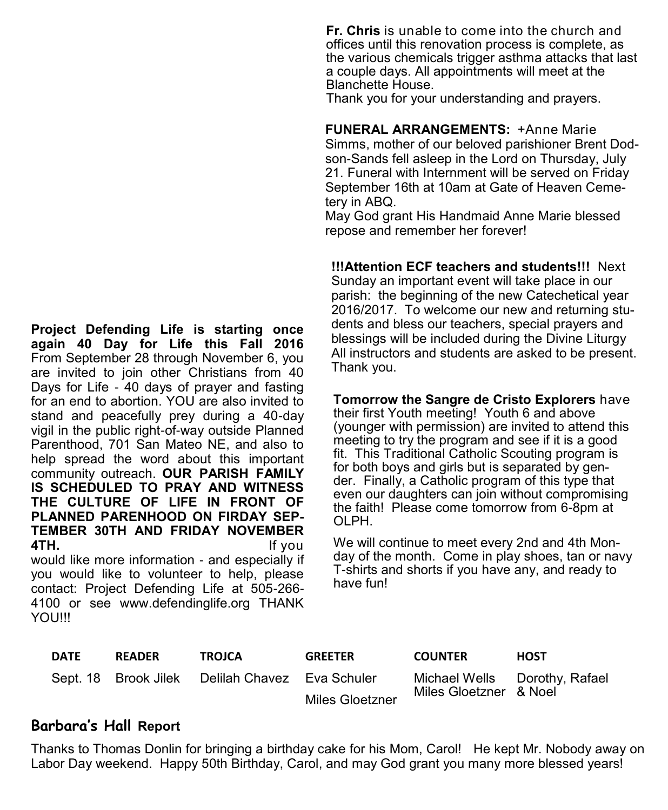**Project Defending Life is starting once again 40 Day for Life this Fall 2016** From September 28 through November 6, you are invited to join other Christians from 40 Days for Life - 40 days of prayer and fasting for an end to abortion. YOU are also invited to stand and peacefully prey during a 40-day vigil in the public right-of-way outside Planned Parenthood, 701 San Mateo NE, and also to help spread the word about this important community outreach. **OUR PARISH FAMILY IS SCHEDULED TO PRAY AND WITNESS THE CULTURE OF LIFE IN FRONT OF PLANNED PARENHOOD ON FIRDAY SEP-TEMBER 30TH AND FRIDAY NOVEMBER 4TH.** If you

would like more information - and especially if you would like to volunteer to help, please contact: Project Defending Life at 505-266- 4100 or see [www.defendinglife.org T](http://www.defendinglife.org)HANK YOU!!!

**Fr. Chris** is unable to come into the church and offices until this renovation process is complete, as the various chemicals trigger asthma attacks that last a couple days. All appointments will meet at the Blanchette House.

Thank you for your understanding and prayers.

**FUNERAL ARRANGEMENTS:** +Anne Marie Simms, mother of our beloved parishioner Brent Dodson-Sands fell asleep in the Lord on Thursday, July 21. Funeral with Internment will be served on Friday September 16th at 10am at Gate of Heaven Cemetery in ABQ.

May God grant His Handmaid Anne Marie blessed repose and remember her forever!

**!!!Attention ECF teachers and students!!!** Next Sunday an important event will take place in our parish: the beginning of the new Catechetical year 2016/2017. To welcome our new and returning students and bless our teachers, special prayers and blessings will be included during the Divine Liturgy All instructors and students are asked to be present. Thank you.

**Tomorrow the Sangre de Cristo Explorers** have their first Youth meeting! Youth 6 and above (younger with permission) are invited to attend this meeting to try the program and see if it is a good fit. This Traditional Catholic Scouting program is for both boys and girls but is separated by gender. Finally, a Catholic program of this type that even our daughters can join without compromising the faith! Please come tomorrow from 6-8pm at OLPH.

We will continue to meet every 2nd and 4th Monday of the month. Come in play shoes, tan or navy T-shirts and shorts if you have any, and ready to have fun!

| <b>DATE</b> | <b>READER</b> | <b>TROJCA</b>                                   | <b>GREETER</b>  | <b>COUNTER</b>         | <b>HOST</b>                   |
|-------------|---------------|-------------------------------------------------|-----------------|------------------------|-------------------------------|
|             |               | Sept. 18 Brook Jilek Delilah Chavez Eva Schuler |                 |                        | Michael Wells Dorothy, Rafael |
|             |               |                                                 | Miles Gloetzner | Miles Gloetzner & Noel |                               |

## **Barbara's Hall Report**

Thanks to Thomas Donlin for bringing a birthday cake for his Mom, Carol! He kept Mr. Nobody away on Labor Day weekend. Happy 50th Birthday, Carol, and may God grant you many more blessed years!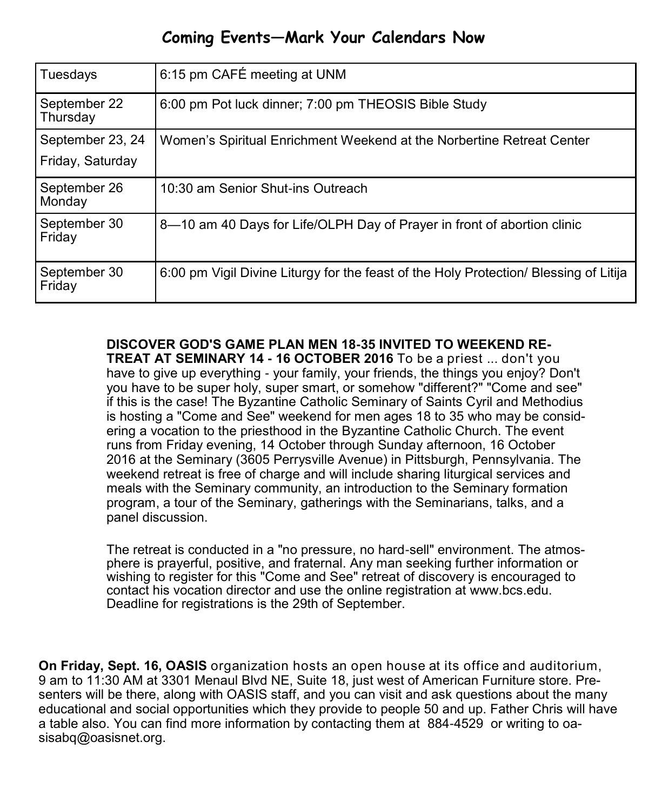# **Coming Events—Mark Your Calendars Now**

| Tuesdays                             | 6:15 pm CAFÉ meeting at UNM                                                           |
|--------------------------------------|---------------------------------------------------------------------------------------|
| September 22<br>Thursday             | 6:00 pm Pot luck dinner; 7:00 pm THEOSIS Bible Study                                  |
| September 23, 24<br>Friday, Saturday | Women's Spiritual Enrichment Weekend at the Norbertine Retreat Center                 |
| September 26<br>Monday               | 10:30 am Senior Shut-ins Outreach                                                     |
| September 30<br>Friday               | 8-10 am 40 Days for Life/OLPH Day of Prayer in front of abortion clinic               |
| September 30<br>Friday               | 6:00 pm Vigil Divine Liturgy for the feast of the Holy Protection/ Blessing of Litija |

**DISCOVER GOD'S GAME PLAN MEN 18-35 INVITED TO WEEKEND RE-TREAT AT SEMINARY 14 - 16 OCTOBER 2016** To be a priest ... don't you

have to give up everything - your family, your friends, the things you enjoy? Don't you have to be super holy, super smart, or somehow "different?" "Come and see" if this is the case! The Byzantine Catholic Seminary of Saints Cyril and Methodius is hosting a "Come and See" weekend for men ages 18 to 35 who may be considering a vocation to the priesthood in the Byzantine Catholic Church. The event runs from Friday evening, 14 October through Sunday afternoon, 16 October 2016 at the Seminary (3605 Perrysville Avenue) in Pittsburgh, Pennsylvania. The weekend retreat is free of charge and will include sharing liturgical services and meals with the Seminary community, an introduction to the Seminary formation program, a tour of the Seminary, gatherings with the Seminarians, talks, and a panel discussion.

The retreat is conducted in a "no pressure, no hard-sell" environment. The atmosphere is prayerful, positive, and fraternal. Any man seeking further information or wishing to register for this "Come and See" retreat of discovery is encouraged to contact his vocation director and use the online registration at [www.bcs.edu.](http://www.bcs.edu)  Deadline for registrations is the 29th of September.

**On Friday, Sept. 16, OASIS** organization hosts an open house at its office and auditorium, 9 am to 11:30 AM at 3301 Menaul Blvd NE, Suite 18, just west of American Furniture store. Presenters will be there, along with OASIS staff, and you can visit and ask questions about the many educational and social opportunities which they provide to people 50 and up. Father Chris will have a table also. You can find more information by contacting them at 884-4529 or writing to oasisabq@oasisnet.org.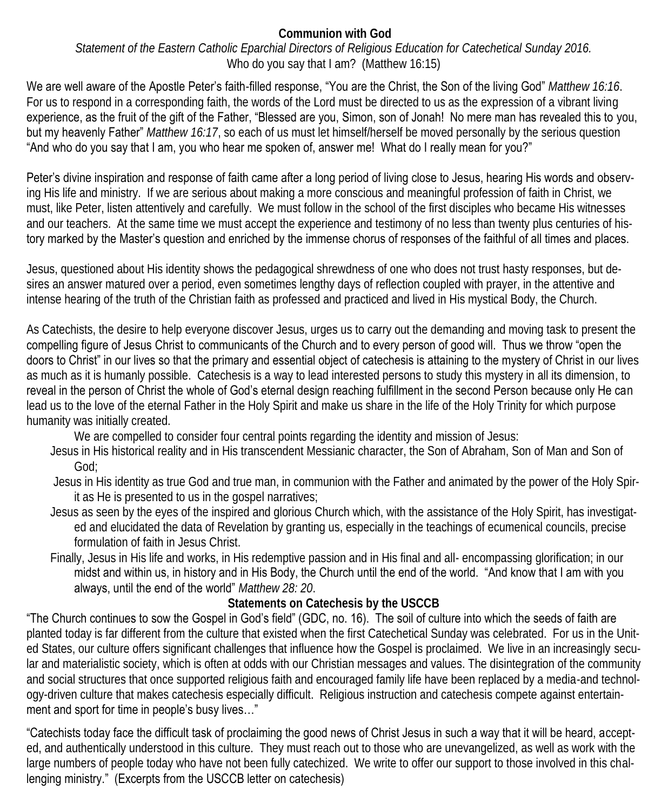#### **Communion with God**  *Statement of the Eastern Catholic Eparchial Directors of Religious Education for Catechetical Sunday 2016.*  Who do you say that I am? (Matthew 16:15)

We are well aware of the Apostle Peter's faith-filled response, "You are the Christ, the Son of the living God" *Matthew 16:16*. For us to respond in a corresponding faith, the words of the Lord must be directed to us as the expression of a vibrant living experience, as the fruit of the gift of the Father, "Blessed are you, Simon, son of Jonah! No mere man has revealed this to you, but my heavenly Father" *Matthew 16:17*, so each of us must let himself/herself be moved personally by the serious question "And who do you say that I am, you who hear me spoken of, answer me! What do I really mean for you?"

Peter's divine inspiration and response of faith came after a long period of living close to Jesus, hearing His words and observing His life and ministry. If we are serious about making a more conscious and meaningful profession of faith in Christ, we must, like Peter, listen attentively and carefully. We must follow in the school of the first disciples who became His witnesses and our teachers. At the same time we must accept the experience and testimony of no less than twenty plus centuries of history marked by the Master's question and enriched by the immense chorus of responses of the faithful of all times and places.

Jesus, questioned about His identity shows the pedagogical shrewdness of one who does not trust hasty responses, but desires an answer matured over a period, even sometimes lengthy days of reflection coupled with prayer, in the attentive and intense hearing of the truth of the Christian faith as professed and practiced and lived in His mystical Body, the Church.

As Catechists, the desire to help everyone discover Jesus, urges us to carry out the demanding and moving task to present the compelling figure of Jesus Christ to communicants of the Church and to every person of good will. Thus we throw "open the doors to Christ" in our lives so that the primary and essential object of catechesis is attaining to the mystery of Christ in our lives as much as it is humanly possible. Catechesis is a way to lead interested persons to study this mystery in all its dimension, to reveal in the person of Christ the whole of God's eternal design reaching fulfillment in the second Person because only He can lead us to the love of the eternal Father in the Holy Spirit and make us share in the life of the Holy Trinity for which purpose humanity was initially created.

We are compelled to consider four central points regarding the identity and mission of Jesus:

- Jesus in His historical reality and in His transcendent Messianic character, the Son of Abraham, Son of Man and Son of God;
- Jesus in His identity as true God and true man, in communion with the Father and animated by the power of the Holy Spirit as He is presented to us in the gospel narratives;
- Jesus as seen by the eyes of the inspired and glorious Church which, with the assistance of the Holy Spirit, has investigated and elucidated the data of Revelation by granting us, especially in the teachings of ecumenical councils, precise formulation of faith in Jesus Christ.

Finally, Jesus in His life and works, in His redemptive passion and in His final and all- encompassing glorification; in our midst and within us, in history and in His Body, the Church until the end of the world. "And know that I am with you always, until the end of the world" *Matthew 28: 20*.

### **Statements on Catechesis by the USCCB**

"The Church continues to sow the Gospel in God's field" (GDC, no. 16). The soil of culture into which the seeds of faith are planted today is far different from the culture that existed when the first Catechetical Sunday was celebrated. For us in the United States, our culture offers significant challenges that influence how the Gospel is proclaimed. We live in an increasingly secular and materialistic society, which is often at odds with our Christian messages and values. The disintegration of the community and social structures that once supported religious faith and encouraged family life have been replaced by a media-and technology-driven culture that makes catechesis especially difficult. Religious instruction and catechesis compete against entertainment and sport for time in people's busy lives…"

"Catechists today face the difficult task of proclaiming the good news of Christ Jesus in such a way that it will be heard, accepted, and authentically understood in this culture. They must reach out to those who are unevangelized, as well as work with the large numbers of people today who have not been fully catechized. We write to offer our support to those involved in this challenging ministry." (Excerpts from the USCCB letter on catechesis)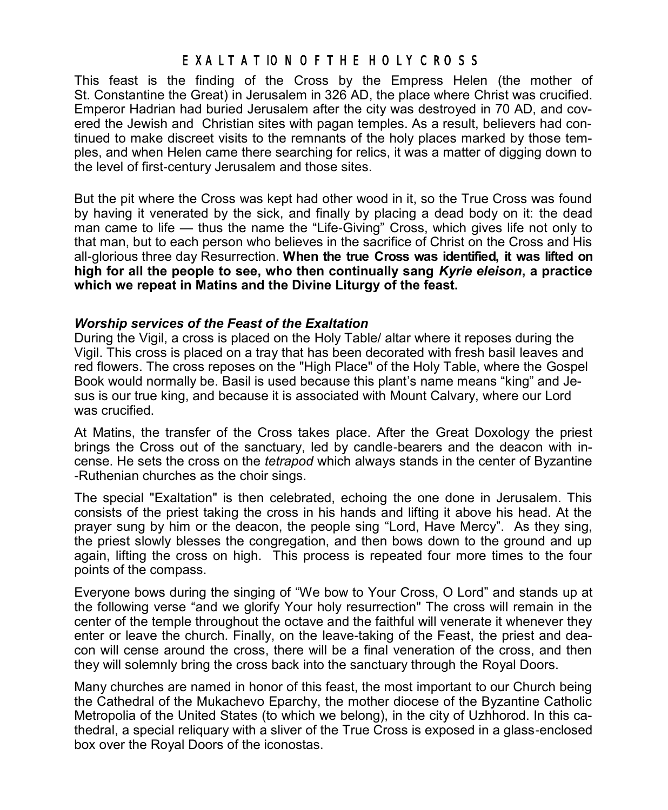# EXALTATION OF THE HOLY CROSS

This feast is the finding of the [Cross](http://orthodoxwiki.org/Cross) by the Empress [Helen](http://orthodoxwiki.org/Helen) (the mother of St. [Constantine the Great\)](http://orthodoxwiki.org/Constantine_the_Great) in Jerusalem in 326 AD, the place where [Christ](http://orthodoxwiki.org/Jesus_Christ) was crucified. Emperor Hadrian had buried Jerusalem after the city was destroyed in 70 AD, and covered the Jewish and Christian sites with pagan temples. As a result, believers had continued to make discreet visits to the remnants of the holy places marked by those temples, and when Helen came there searching for relics, it was a matter of digging down to the level of first-century Jerusalem and those sites.

But the pit where the Cross was kept had other wood in it, so the True Cross was found by having it venerated by the sick, and finally by placing a dead body on it: the dead man came to life — thus the name the "Life-Giving" Cross, which gives life not only to that man, but to each person who believes in the sacrifice of Christ on the Cross and His all-glorious three day Resurrection. **When the true Cross was identified, it was lifted on high for all the people to see, who then continually sang** *Kyrie eleison***, a practice which we repeat in Matins and the Divine Liturgy of the feast.**

#### *Worship services of the Feast of the Exaltation*

During the Vigil, a cross is placed on the Holy Table/ altar where it reposes during the Vigil. This cross is placed on a tray that has been decorated with fresh basil leaves and red flowers. The cross reposes on the "High Place" of the Holy Table, where the Gospel Book would normally be. Basil is used because this plant's name means "king" and Jesus is our true king, and because it is associated with Mount Calvary, where our Lord was crucified.

At Matins, the transfer of the Cross takes place. After the Great Doxology the priest brings the Cross out of the sanctuary, led by candle-bearers and the deacon with incense. He sets the cross on the *tetrapod* which always stands in the center of Byzantine -Ruthenian churches as the choir sings.

The special "Exaltation" is then celebrated, echoing the one done in Jerusalem. This consists of the priest taking the cross in his hands and lifting it above his head. At the prayer sung by him or the deacon, the people sing "Lord, Have Mercy". As they sing, the priest slowly blesses the congregation, and then bows down to the ground and up again, lifting the cross on high. This process is repeated four more times to the four points of the compass.

Everyone bows during the singing of "We bow to Your Cross, O Lord" and stands up at the following verse "and we glorify Your holy resurrection" The cross will remain in the center of the temple throughout the octave and the faithful will venerate it whenever they enter or leave the church. Finally, on the leave-taking of the Feast, the priest and deacon will cense around the cross, there will be a final veneration of the cross, and then they will solemnly bring the cross back into the sanctuary through the Royal Doors.

Many churches are named in honor of this feast, the most important to our Church being the Cathedral of the Mukachevo Eparchy, the mother diocese of the Byzantine Catholic Metropolia of the United States (to which we belong), in the city of Uzhhorod. In this cathedral, a special reliquary with a sliver of the True Cross is exposed in a glass-enclosed box over the Royal Doors of the iconostas.